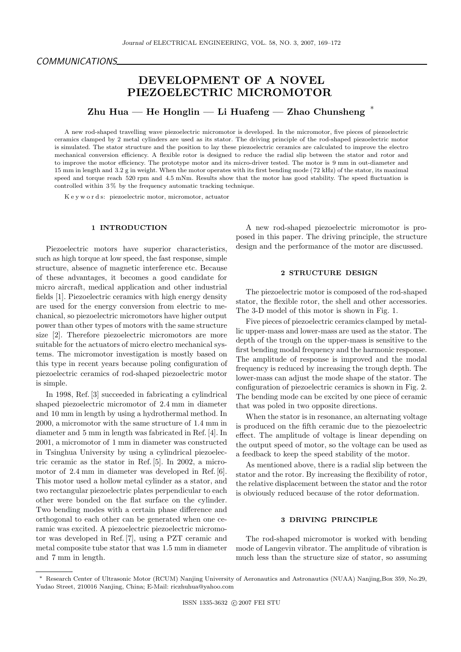# DEVELOPMENT OF A NOVEL PIEZOELECTRIC MICROMOTOR

Zhu Hua — He Honglin — Li Huafeng — Zhao Chunsheng  $*$ 

A new rod-shaped travelling wave piezoelectric micromotor is developed. In the micromotor, five pieces of piezoelectric ceramics clamped by 2 metal cylinders are used as its stator. The driving principle of the rod-shaped piezoelectric motor is simulated. The stator structure and the position to lay these piezoelectric ceramics are calculated to improve the electro mechanical conversion efficiency. A flexible rotor is designed to reduce the radial slip between the stator and rotor and to improve the motor efficiency. The prototype motor and its micro-driver tested. The motor is 9 mm in out-diameter and 15 mm in length and 3.2 g in weight. When the motor operates with its first bending mode ( 72 kHz) of the stator, its maximal speed and torque reach 520 rpm and 4.5 mNm. Results show that the motor has good stability. The speed fluctuation is controlled within 3 % by the frequency automatic tracking technique.

K e y w o r d s: piezoelectric motor, micromotor, actuator

### 1 INTRODUCTION

Piezoelectric motors have superior characteristics, such as high torque at low speed, the fast response, simple structure, absence of magnetic interference etc. Because of these advantages, it becomes a good candidate for micro aircraft, medical application and other industrial fields [1]. Piezoelectric ceramics with high energy density are used for the energy conversion from electric to mechanical, so piezoelectric micromotors have higher output power than other types of motors with the same structure size [2]. Therefore piezoelectric micromotors are more suitable for the actuators of micro electro mechanical systems. The micromotor investigation is mostly based on this type in recent years because poling configuration of piezoelectric ceramics of rod-shaped piezoelectric motor is simple.

In 1998, Ref. [3] succeeded in fabricating a cylindrical shaped piezoelectric micromotor of 2.4 mm in diameter and 10 mm in length by using a hydrothermal method. In 2000, a micromotor with the same structure of 1.4 mm in diameter and 5 mm in length was fabricated in Ref. [4]. In 2001, a micromotor of 1 mm in diameter was constructed in Tsinghua University by using a cylindrical piezoelectric ceramic as the stator in Ref. [5]. In 2002, a micromotor of 2.4 mm in diameter was developed in Ref. [6]. This motor used a hollow metal cylinder as a stator, and two rectangular piezoelectric plates perpendicular to each other were bonded on the flat surface on the cylinder. Two bending modes with a certain phase difference and orthogonal to each other can be generated when one ceramic was excited. A piezoelectric piezoelectric micromotor was developed in Ref. [7], using a PZT ceramic and metal composite tube stator that was 1.5 mm in diameter and 7 mm in length.

A new rod-shaped piezoelectric micromotor is proposed in this paper. The driving principle, the structure design and the performance of the motor are discussed.

### 2 STRUCTURE DESIGN

The piezoelectric motor is composed of the rod-shaped stator, the flexible rotor, the shell and other accessories. The 3-D model of this motor is shown in Fig. 1.

Five pieces of piezoelectric ceramics clamped by metallic upper-mass and lower-mass are used as the stator. The depth of the trough on the upper-mass is sensitive to the first bending modal frequency and the harmonic response. The amplitude of response is improved and the modal frequency is reduced by increasing the trough depth. The lower-mass can adjust the mode shape of the stator. The configuration of piezoelectric ceramics is shown in Fig. 2. The bending mode can be excited by one piece of ceramic that was poled in two opposite directions.

When the stator is in resonance, an alternating voltage is produced on the fifth ceramic due to the piezoelectric effect. The amplitude of voltage is linear depending on the output speed of motor, so the voltage can be used as a feedback to keep the speed stability of the motor.

As mentioned above, there is a radial slip between the stator and the rotor. By increasing the flexibility of rotor, the relative displacement between the stator and the rotor is obviously reduced because of the rotor deformation.

## 3 DRIVING PRINCIPLE

The rod-shaped micromotor is worked with bending mode of Langevin vibrator. The amplitude of vibration is much less than the structure size of stator, so assuming

<sup>∗</sup> Research Center of Ultrasonic Motor (RCUM) Nanjing University of Aeronautics and Astronautics (NUAA) Nanjing,Box 359, No.29, Yudao Street, 210016 Nanjing, China; E-Mail: riczhuhua@yahoo.com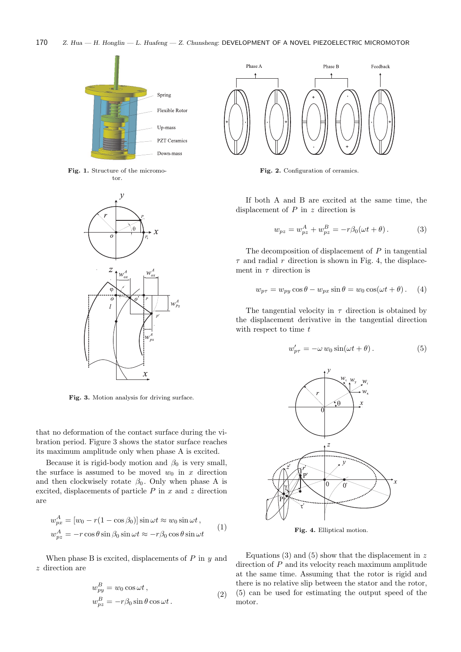

Fig. 1. Structure of the micromotor.



Fig. 3. Motion analysis for driving surface.

that no deformation of the contact surface during the vibration period. Figure 3 shows the stator surface reaches its maximum amplitude only when phase A is excited.

Because it is rigid-body motion and  $\beta_0$  is very small, the surface is assumed to be moved  $w_0$  in x direction and then clockwisely rotate  $\beta_0$ . Only when phase A is excited, displacements of particle  $P$  in  $x$  and  $z$  direction are

$$
w_{px}^{A} = [w_0 - r(1 - \cos \beta_0)] \sin \omega t \approx w_0 \sin \omega t,
$$
  

$$
w_{pz}^{A} = -r \cos \theta \sin \beta_0 \sin \omega t \approx -r\beta_0 \cos \theta \sin \omega t
$$
 (1)

When phase B is excited, displacements of  $P$  in  $y$  and z direction are

$$
w_{py}^{B} = w_0 \cos \omega t, \nw_{pz}^{B} = -r\beta_0 \sin \theta \cos \omega t.
$$
\n(2)



Fig. 2. Configuration of ceramics.

If both A and B are excited at the same time, the displacement of  $P$  in  $z$  direction is

$$
w_{pz} = w_{pz}^A + w_{pz}^B = -r\beta_0(\omega t + \theta). \tag{3}
$$

The decomposition of displacement of  $P$  in tangential  $\tau$  and radial r direction is shown in Fig. 4, the displacement in  $\tau$  direction is

$$
w_{p\tau} = w_{py} \cos \theta - w_{px} \sin \theta = w_0 \cos(\omega t + \theta). \quad (4)
$$

The tangential velocity in  $\tau$  direction is obtained by the displacement derivative in the tangential direction with respect to time  $t$ 

$$
w'_{p\tau} = -\omega w_0 \sin(\omega t + \theta). \tag{5}
$$



Fig. 4. Elliptical motion.

Equations (3) and (5) show that the displacement in  $z$ direction of P and its velocity reach maximum amplitude at the same time. Assuming that the rotor is rigid and there is no relative slip between the stator and the rotor, (5) can be used for estimating the output speed of the motor.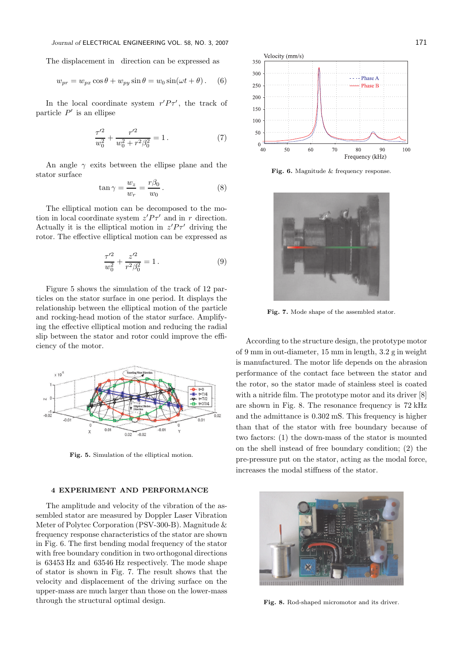The displacement in direction can be expressed as

$$
w_{pr} = w_{px} \cos \theta + w_{py} \sin \theta = w_0 \sin(\omega t + \theta).
$$
 (6)

In the local coordinate system  $r'P\tau'$ , the track of particle  $P'$  is an ellipse

$$
\frac{\tau'^2}{w_0^2} + \frac{r'^2}{w_0^2 + r^2 \beta_0^2} = 1.
$$
 (7)

An angle  $\gamma$  exits between the ellipse plane and the stator surface

$$
\tan \gamma = \frac{w_z}{w_r} = \frac{r\beta_0}{w_0}.
$$
 (8)

The elliptical motion can be decomposed to the motion in local coordinate system  $z'P\tau'$  and in r direction. Actually it is the elliptical motion in  $z'P\tau'$  driving the rotor. The effective elliptical motion can be expressed as

$$
\frac{\tau'^2}{w_0^2} + \frac{z'^2}{r^2 \beta_0^2} = 1.
$$
\n(9)

Figure 5 shows the simulation of the track of 12 particles on the stator surface in one period. It displays the relationship between the elliptical motion of the particle and rocking-head motion of the stator surface. Amplifying the effective elliptical motion and reducing the radial slip between the stator and rotor could improve the efficiency of the motor.



Fig. 5. Simulation of the elliptical motion.

#### 4 EXPERIMENT AND PERFORMANCE

The amplitude and velocity of the vibration of the assembled stator are measured by Doppler Laser Vibration Meter of Polytec Corporation (PSV-300-B). Magnitude & frequency response characteristics of the stator are shown in Fig. 6. The first bending modal frequency of the stator with free boundary condition in two orthogonal directions is 63453 Hz and 63546 Hz respectively. The mode shape of stator is shown in Fig. 7. The result shows that the velocity and displacement of the driving surface on the upper-mass are much larger than those on the lower-mass through the structural optimal design.



Fig. 6. Magnitude & frequency response.



Fig. 7. Mode shape of the assembled stator.

According to the structure design, the prototype motor of 9 mm in out-diameter, 15 mm in length, 3.2 g in weight is manufactured. The motor life depends on the abrasion performance of the contact face between the stator and the rotor, so the stator made of stainless steel is coated with a nitride film. The prototype motor and its driver [8] are shown in Fig. 8. The resonance frequency is 72 kHz and the admittance is 0.302 mS. This frequency is higher than that of the stator with free boundary because of two factors: (1) the down-mass of the stator is mounted on the shell instead of free boundary condition; (2) the pre-pressure put on the stator, acting as the modal force, increases the modal stiffness of the stator.



Fig. 8. Rod-shaped micromotor and its driver.